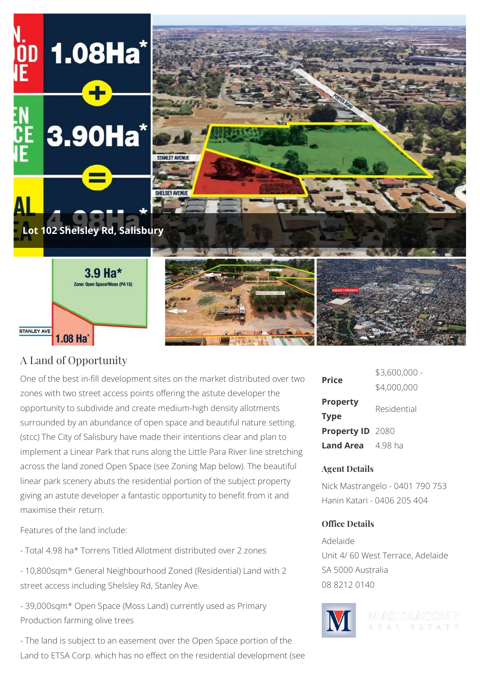

## A Land of Opportunity

One of the best in-fill development sites on the market distributed over two zones with two street access points offering the astute developer the opportunity to subdivide and create medium-high density allotments surrounded by an abundance of open space and beautiful nature setting. (stcc) The City of Salisbury have made their intentions clear and plan to implement a Linear Park that runs along the Little Para River line stretching across the land zoned Open Space (see Zoning Map below). The beautiful linear park scenery abuts the residential portion of the subject property giving an astute developer a fantastic opportunity to benefit from it and maximise their return.

Features of the land include:

- Total 4.98 ha\* Torrens Titled Allotment distributed over 2 zones

- 10,800sqm\* General Neighbourhood Zoned (Residential) Land with 2 street access including Shelsley Rd, Stanley Ave.

- 39,000sqm\* Open Space (Moss Land) currently used as Primary Production farming olive trees

- The land is subject to an easement over the Open Space portion of the Land to ETSA Corp. which has no effect on the residential development (see

| <b>Price</b>                   | \$3,600,000 - |
|--------------------------------|---------------|
|                                | \$4,000,000   |
| <b>Property</b><br><b>Type</b> | Residential   |
| Property ID 2080               |               |
| <b>Land Area</b> 4.98 ha       |               |

## **Agent Details**

Nick Mastrangelo - 0401 790 753 Hanin Katari - 0406 205 404

## **Office Details**

Adelaide Unit 4/ 60 West Terrace, Adelaide SA 5000 Australia 08 8212 0140